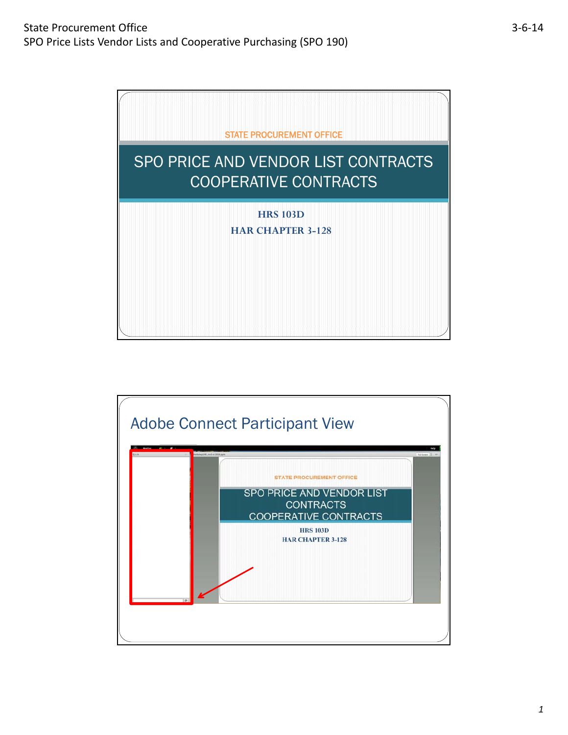

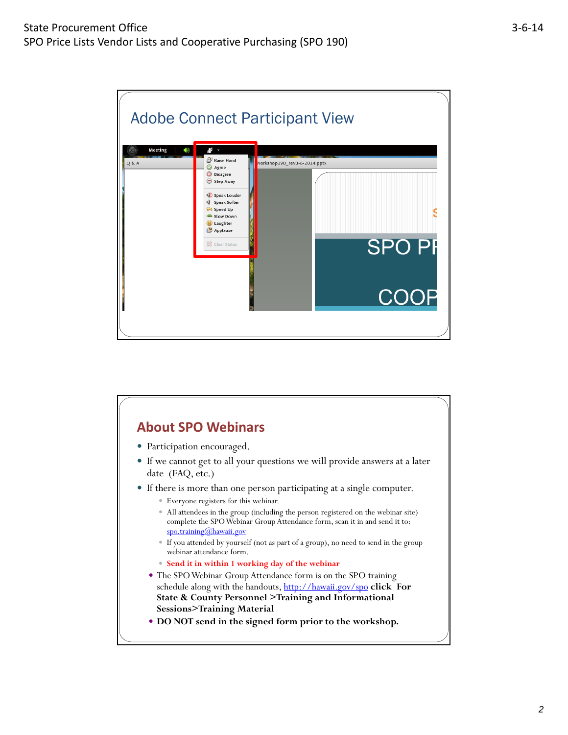

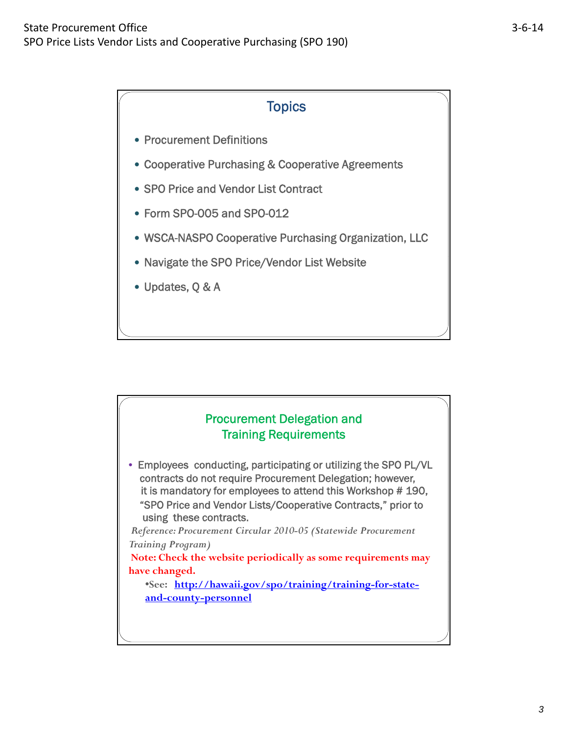## **Topics**

- Procurement Definitions
- Cooperative Purchasing & Cooperative Agreements
- SPO Price and Vendor List Contract
- Form SPO-005 and SPO-012
- WSCA-NASPO Cooperative Purchasing Organization, LLC
- Navigate the SPO Price/Vendor List Website
- Updates, Q & A

### Procurement Delegation and Training Requirements

• Employees conducting, participating or utilizing the SPO PL/VL contracts do not require Procurement Delegation; however , it is mandatory for employees to attend this Workshop # 190, "SPO Price and Vendor Lists/Cooperative Contracts," prior to using these contracts.

*Reference: Procurement Circular 2010-05 (Statewide Procurement Training Program)*

Note: Check the website periodically as some requirements may **have changed.**

•**See: http://hawaii.gov/spo/training/training-for-stateand-county-personnel**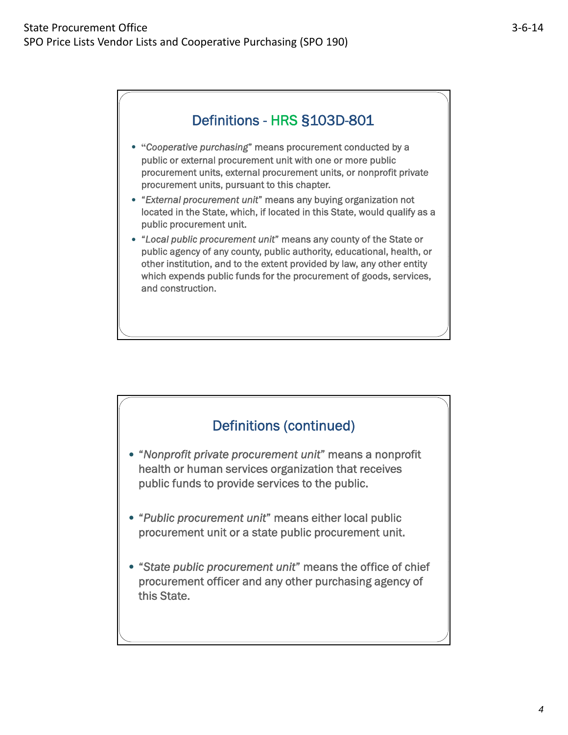# Definitions - HRS **§**103D-801

- **"***Cooperative purchasing*" means procurement conducted by a public or external procurement unit with one or more public procurement units, external procurement units, or nonprofit private procurement units, pursuant to this chapter.
- "*External procurement unit*" means any buying organization not located in the State, which, if located in this State, would qualify as a public procurement unit.
- "*Local public procurement unit*" means any county of the State or public agency of any county, public authority, educational, health, or other institution, and to the extent provided by law, any other entity which expends public funds for the procurement of goods, services, and construction.

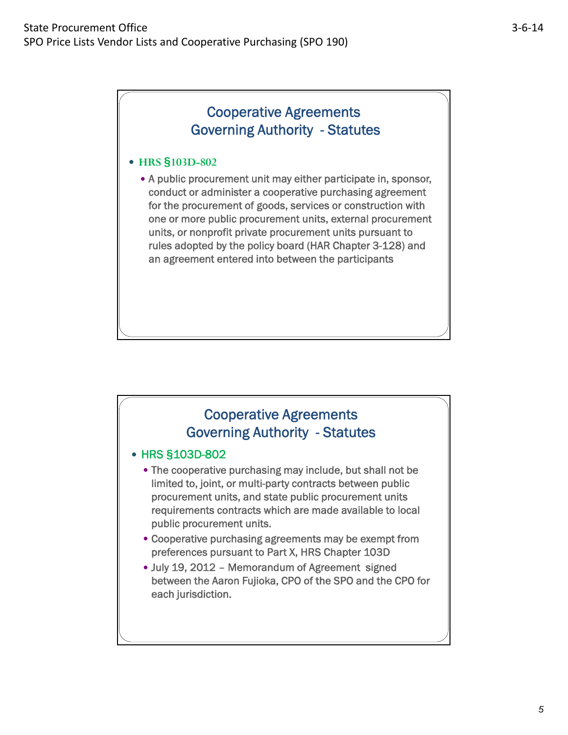#### **HRS §103D-802**

 A public procurement unit may either participate in, sponsor, conduct or administer a cooperative purchasing agreement for the procurement of goods, services or construction with one or more public procurement units, external procurement units, or nonprofit private procurement units pursuant to rules adopted by the policy board (HAR Chapter 3-128) and an agreement entered into between the participants

## Cooperative Agreements Governing Authority - Statutes

#### HRS **§**103D-802

 The cooperative purchasing may include, but shall not be limited to, joint, or multi-party contracts between public procurement units, and state public procurement units requirements contracts which are made available to local public procurement units.

- Cooperative purchasing agreements may be exempt from preferences pursuant to Part X, HRS Chapter 103D
- July 19, 2012 Memorandum of Agreement signed between the Aaron Fujioka, CPO of the SPO and the CPO for each jurisdiction.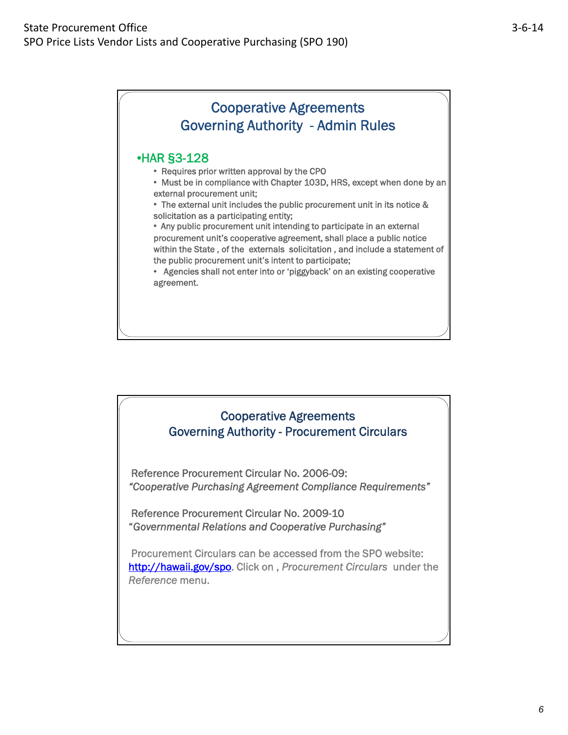# Cooperative Agreements Governing Authority - Admin Rules

### •HAR **§**3-128

- Requires prior written approval by the CPO
- Must be in compliance with Chapter 103D, HRS, except when done by an external procurement unit;

• The external unit includes the public procurement unit in its notice & solicitation as a participating entity;

• Any public procurement unit intending to participate in an external procurement unit's cooperative agreement, shall place a public notice within the State , of the externals solicitation , and include a statement of the public procurement unit's intent to participate;

• Agencies shall not enter into or 'piggyback' on an existing cooperative agreement.

## Cooperative Agreements Governing Authority - Procurement Circulars

Reference Procurement Circular No. 2006-09: *"Cooperative Purchasing Agreement Compliance Requirements"*

Reference Procurement Circular No. 2009-10 "*Governmental Relations and Cooperative Purchasing"* 

Procurement Circulars can be accessed from the SPO website: http://hawaii.gov/spo. Click on , *Procurement Circulars* under the *Reference* menu.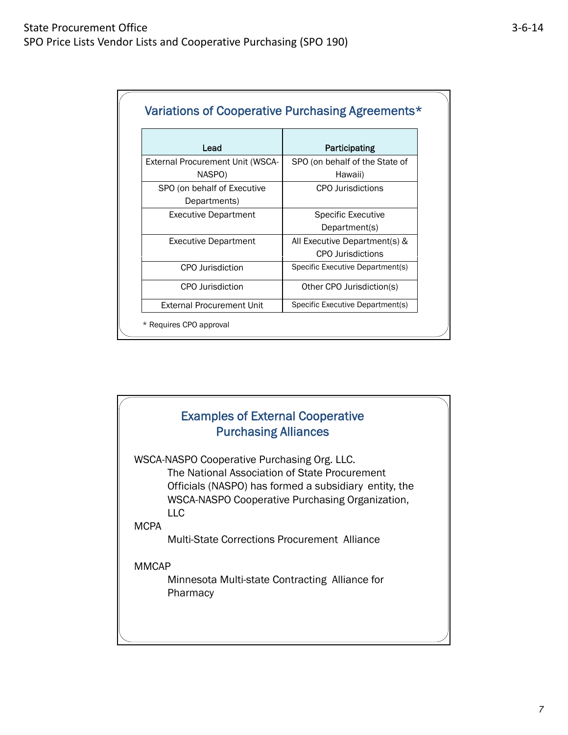|--|--|

 $\overline{\phantom{a}}$ 

| Lead                                    | Participating                    |
|-----------------------------------------|----------------------------------|
| <b>External Procurement Unit (WSCA-</b> | SPO (on behalf of the State of   |
| NASPO)                                  | Hawaii)                          |
| SPO (on behalf of Executive             | <b>CPO</b> Jurisdictions         |
| Departments)                            |                                  |
| <b>Executive Department</b>             | <b>Specific Executive</b>        |
|                                         | Department(s)                    |
| <b>Executive Department</b>             | All Executive Department(s) &    |
|                                         | <b>CPO</b> Jurisdictions         |
| CPO Jurisdiction                        | Specific Executive Department(s) |
| CPO Jurisdiction                        | Other CPO Jurisdiction(s)        |
| <b>External Procurement Unit</b>        | Specific Executive Department(s) |

# Examples of External Cooperative Purchasing Alliances WSCA-NASPO Cooperative Purchasing Org. LLC. The National Association of State Procurement Officials (NASPO) has formed a subsidiary entity, the WSCA-NASPO Cooperative Purchasing Organization, LLC **MCPA** Multi-State Corrections Procurement Alliance MMCAP

Minnesota Multi-state Contracting Alliance for Pharmacy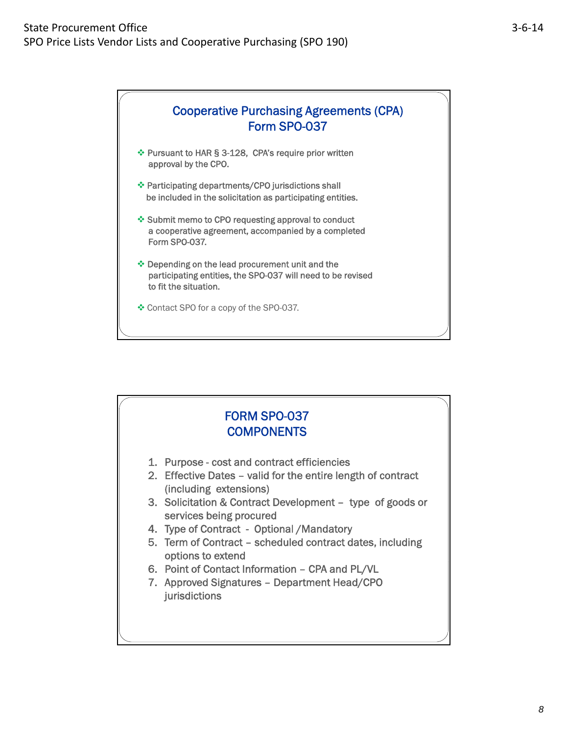

- Pursuant to HAR **§** 3-128, CPA's require prior written approval by the CPO.
- Participating departments/CPO jurisdictions shall be included in the solicitation as participating entities.
- ❖ Submit memo to CPO requesting approval to conduct a cooperative agreement, accompanied by a completed Form SPO-037.
- Depending on the lead procurement unit and the participating entities, the SPO-037 will need to be revised to fit the situation.
- Contact SPO for a copy of the SPO-037.

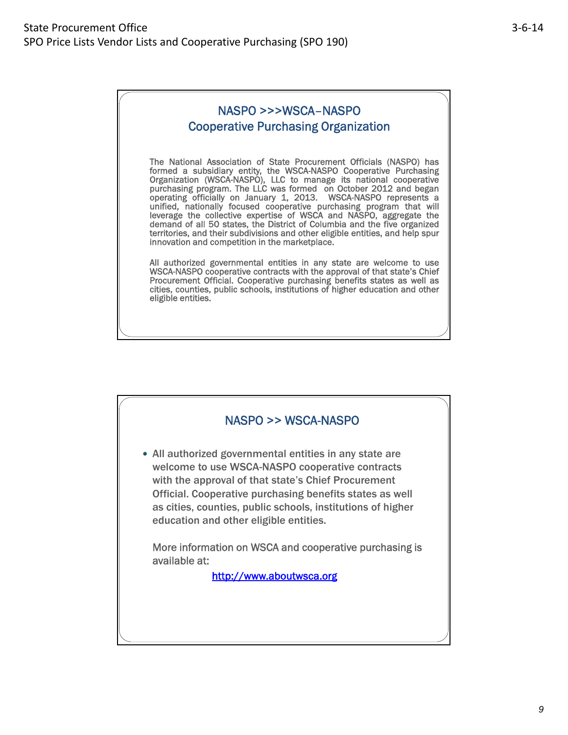## NASPO >>>WSCA–NASPO Cooperative Purchasing Organization

The National Association of State Procurement Officials (NASPO) has formed a subsidiary entity, the WSCA-NASPO Cooperative Purchasing Organization (WSCA-NASPO), LLC to manage its national cooperative purchasing program. The LLC was formed on October 2012 and began operating officially on January 1, 2013. WSCA-NASPO represents a unified, nationally focused cooperative purchasing program that will leverage the collective expertise of WSCA and NASPO, aggregate the demand of all 50 states, the District of Columbia and the five organized territories, and their subdivisions and other eligible entities, and help spur innovation and competition in the marketplace.

All authorized governmental entities in any state are welcome to use WSCA-NASPO cooperative contracts with the approval of that state's Chief Procurement Official. Cooperative purchasing benefits states as well as cities, counties, public schools, institutions of higher education and other eligible entities.

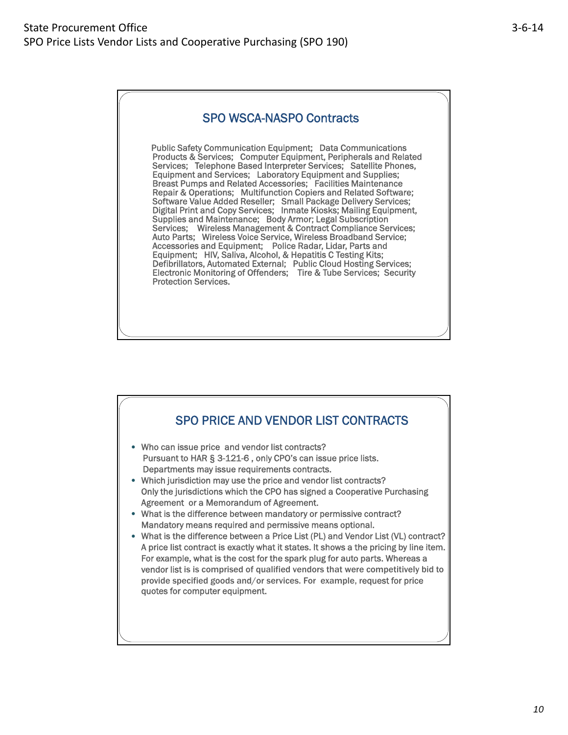### SPO WSCA-NASPO Contracts

Public Safety Communication Equipment; Data Communications Products & Services; Computer Equipment, Peripherals and Related Services; Telephone Based Interpreter Services; Satellite Phones, Equipment and Services; Laboratory Equipment and Supplies; Breast Pumps and Related Accessories; Facilities Maintenance Repair & Operations; Multifunction Copiers and Related Software; Software Value Added Reseller; Small Package Delivery Services; Digital Print and Copy Services; Inmate Kiosks; Mailing Equipment, Supplies and Maintenance; Body Armor; Legal Subscription Services; Wireless Management & Contract Compliance Services; Auto Parts; Wireless Voice Service, Wireless Broadband Service; Accessories and Equipment; Police Radar, Lidar, Parts and Equipment; HIV, Saliva, Alcohol, & Hepatitis C Testing Kits; Defibrillators, Automated External; Public Cloud Hosting Services; Electronic Monitoring of Offenders; Tire & Tube Services; Security Protection Services.

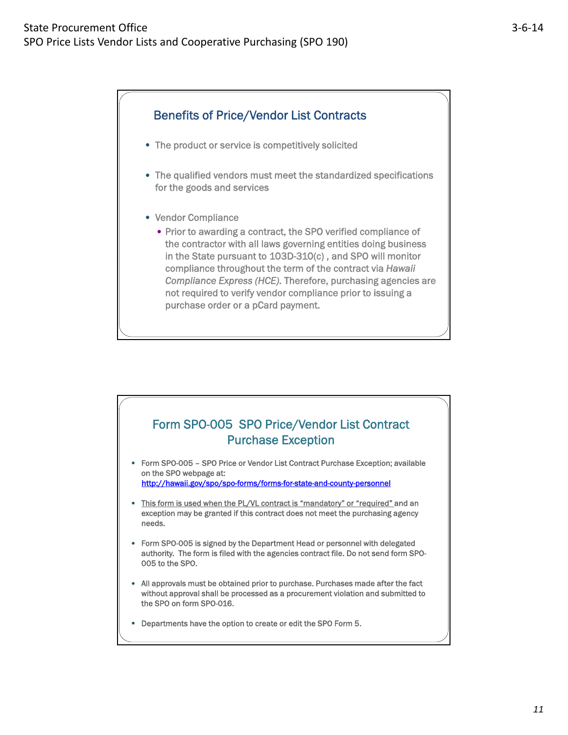

- The product or service is competitively solicited
- The qualified vendors must meet the standardized specifications for the goods and services
- Vendor Compliance
	- Prior to awarding a contract, the SPO verified compliance of the contractor with all laws governing entities doing business in the State pursuant to 103D-310(c), and SPO will monitor compliance throughout the term of the contract via *Hawaii Compliance Express (HCE).* Therefore, purchasing agencies are not required to verify vendor compliance prior to issuing a purchase order or a pCard payment.

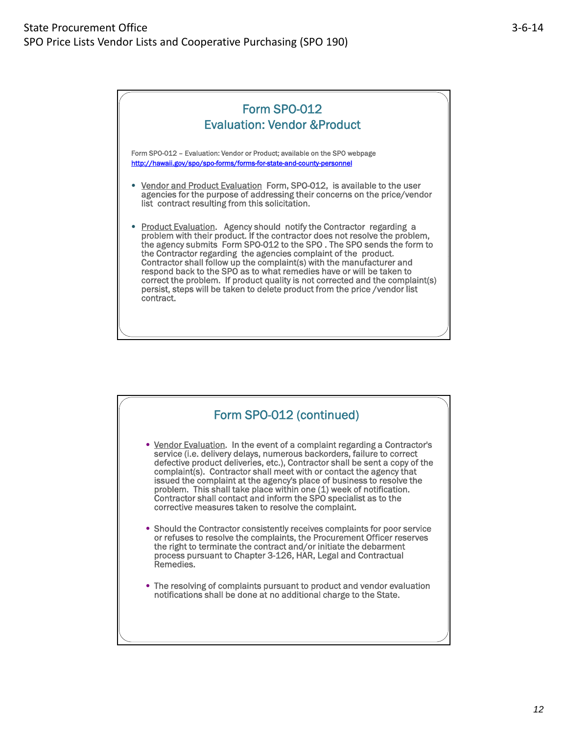

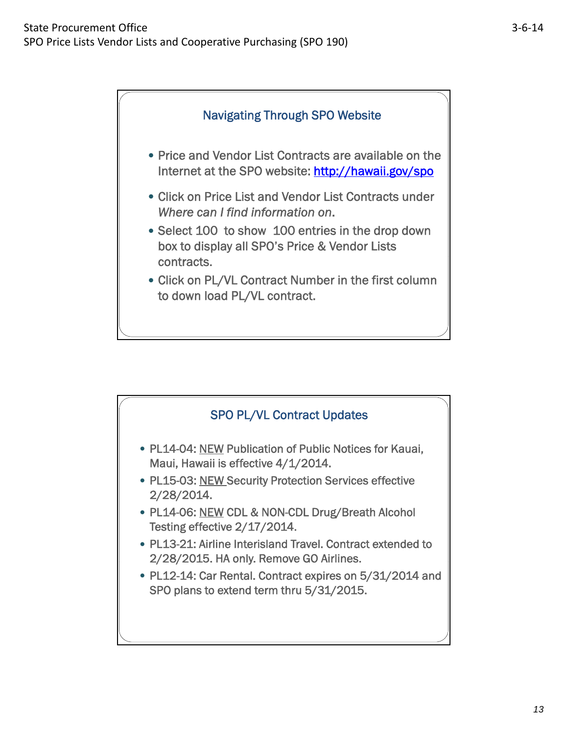